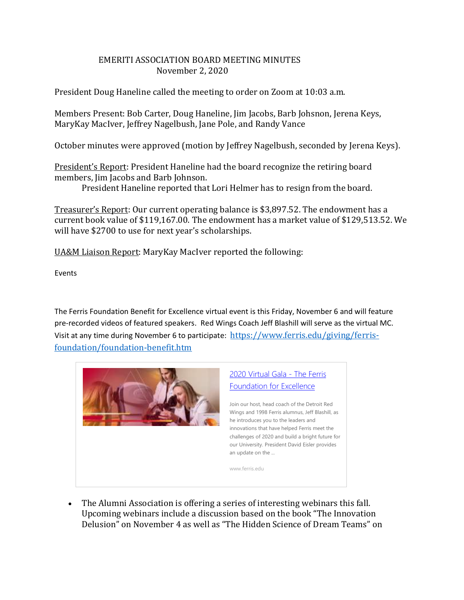## EMERITI ASSOCIATION BOARD MEETING MINUTES November 2, 2020

President Doug Haneline called the meeting to order on Zoom at 10:03 a.m.

Members Present: Bob Carter, Doug Haneline, Jim Jacobs, Barb Johsnon, Jerena Keys, MaryKay MacIver, Jeffrey Nagelbush, Jane Pole, and Randy Vance

October minutes were approved (motion by Jeffrey Nagelbush, seconded by Jerena Keys).

President's Report: President Haneline had the board recognize the retiring board members, Jim Jacobs and Barb Johnson.

President Haneline reported that Lori Helmer has to resign from the board.

Treasurer's Report: Our current operating balance is \$3,897.52. The endowment has a current book value of \$119,167.00. The endowment has a market value of \$129,513.52. We will have \$2700 to use for next year's scholarships.

UA&M Liaison Report: MaryKay MacIver reported the following:

Events

The Ferris Foundation Benefit for Excellence virtual event is this Friday, November 6 and will feature pre-recorded videos of featured speakers. Red Wings Coach Jeff Blashill will serve as the virtual MC. Visit at any time during November 6 to participate: [https://www.ferris.edu/giving/ferris](https://www.ferris.edu/giving/ferris-foundation/foundation-benefit.htm)[foundation/foundation-benefit.htm](https://www.ferris.edu/giving/ferris-foundation/foundation-benefit.htm)



 The Alumni Association is offering a series of interesting webinars this fall. Upcoming webinars include a discussion based on the book "The Innovation Delusion" on November 4 as well as "The Hidden Science of Dream Teams" on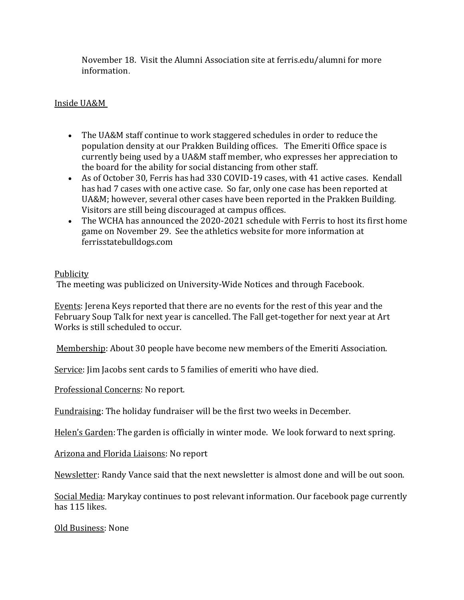November 18. Visit the Alumni Association site at ferris.edu/alumni for more information.

## Inside UA&M

- The UA&M staff continue to work staggered schedules in order to reduce the population density at our Prakken Building offices. The Emeriti Office space is currently being used by a UA&M staff member, who expresses her appreciation to the board for the ability for social distancing from other staff.
- As of October 30, Ferris has had 330 COVID-19 cases, with 41 active cases. Kendall has had 7 cases with one active case. So far, only one case has been reported at UA&M; however, several other cases have been reported in the Prakken Building. Visitors are still being discouraged at campus offices.
- The WCHA has announced the 2020-2021 schedule with Ferris to host its first home game on November 29. See the athletics website for more information at ferrisstatebulldogs.com

## Publicity

The meeting was publicized on University-Wide Notices and through Facebook.

Events: Jerena Keys reported that there are no events for the rest of this year and the February Soup Talk for next year is cancelled. The Fall get-together for next year at Art Works is still scheduled to occur.

Membership: About 30 people have become new members of the Emeriti Association.

Service: Jim Jacobs sent cards to 5 families of emeriti who have died.

Professional Concerns: No report.

Fundraising: The holiday fundraiser will be the first two weeks in December.

Helen's Garden: The garden is officially in winter mode. We look forward to next spring.

Arizona and Florida Liaisons: No report

Newsletter: Randy Vance said that the next newsletter is almost done and will be out soon.

Social Media: Marykay continues to post relevant information. Our facebook page currently has 115 likes.

Old Business: None